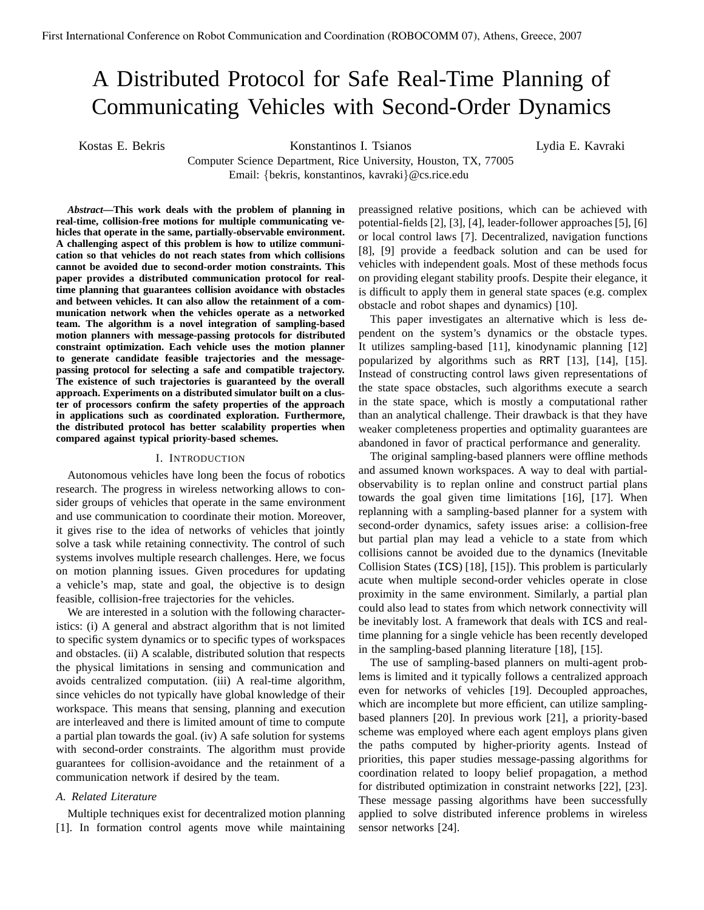# A Distributed Protocol for Safe Real-Time Planning of Communicating Vehicles with Second-Order Dynamics

Kostas E. Bekris Konstantinos I. Tsianos

Lydia E. Kavraki

Computer Science Department, Rice University, Houston, TX, 77005 Email: {bekris, konstantinos, kavraki}@cs.rice.edu

*Abstract***—This work deals with the problem of planning in real-time, collision-free motions for multiple communicating vehicles that operate in the same, partially-observable environment. A challenging aspect of this problem is how to utilize communication so that vehicles do not reach states from which collisions cannot be avoided due to second-order motion constraints. This paper provides a distributed communication protocol for realtime planning that guarantees collision avoidance with obstacles and between vehicles. It can also allow the retainment of a communication network when the vehicles operate as a networked team. The algorithm is a novel integration of sampling-based motion planners with message-passing protocols for distributed constraint optimization. Each vehicle uses the motion planner to generate candidate feasible trajectories and the messagepassing protocol for selecting a safe and compatible trajectory. The existence of such trajectories is guaranteed by the overall approach. Experiments on a distributed simulator built on a cluster of processors confirm the safety properties of the approach in applications such as coordinated exploration. Furthermore, the distributed protocol has better scalability properties when compared against typical priority-based schemes.**

# I. INTRODUCTION

Autonomous vehicles have long been the focus of robotics research. The progress in wireless networking allows to consider groups of vehicles that operate in the same environment and use communication to coordinate their motion. Moreover, it gives rise to the idea of networks of vehicles that jointly solve a task while retaining connectivity. The control of such systems involves multiple research challenges. Here, we focus on motion planning issues. Given procedures for updating a vehicle's map, state and goal, the objective is to design feasible, collision-free trajectories for the vehicles.

We are interested in a solution with the following characteristics: (i) A general and abstract algorithm that is not limited to specific system dynamics or to specific types of workspaces and obstacles. (ii) A scalable, distributed solution that respects the physical limitations in sensing and communication and avoids centralized computation. (iii) A real-time algorithm, since vehicles do not typically have global knowledge of their workspace. This means that sensing, planning and execution are interleaved and there is limited amount of time to compute a partial plan towards the goal. (iv) A safe solution for systems with second-order constraints. The algorithm must provide guarantees for collision-avoidance and the retainment of a communication network if desired by the team.

#### *A. Related Literature*

Multiple techniques exist for decentralized motion planning [1]. In formation control agents move while maintaining preassigned relative positions, which can be achieved with potential-fields [2], [3], [4], leader-follower approaches [5], [6] or local control laws [7]. Decentralized, navigation functions [8], [9] provide a feedback solution and can be used for vehicles with independent goals. Most of these methods focus on providing elegant stability proofs. Despite their elegance, it is difficult to apply them in general state spaces (e.g. complex obstacle and robot shapes and dynamics) [10].

This paper investigates an alternative which is less dependent on the system's dynamics or the obstacle types. It utilizes sampling-based [11], kinodynamic planning [12] popularized by algorithms such as RRT [13], [14], [15]. Instead of constructing control laws given representations of the state space obstacles, such algorithms execute a search in the state space, which is mostly a computational rather than an analytical challenge. Their drawback is that they have weaker completeness properties and optimality guarantees are abandoned in favor of practical performance and generality.

The original sampling-based planners were offline methods and assumed known workspaces. A way to deal with partialobservability is to replan online and construct partial plans towards the goal given time limitations [16], [17]. When replanning with a sampling-based planner for a system with second-order dynamics, safety issues arise: a collision-free but partial plan may lead a vehicle to a state from which collisions cannot be avoided due to the dynamics (Inevitable Collision States (ICS) [18], [15]). This problem is particularly acute when multiple second-order vehicles operate in close proximity in the same environment. Similarly, a partial plan could also lead to states from which network connectivity will be inevitably lost. A framework that deals with ICS and realtime planning for a single vehicle has been recently developed in the sampling-based planning literature [18], [15].

The use of sampling-based planners on multi-agent problems is limited and it typically follows a centralized approach even for networks of vehicles [19]. Decoupled approaches, which are incomplete but more efficient, can utilize samplingbased planners [20]. In previous work [21], a priority-based scheme was employed where each agent employs plans given the paths computed by higher-priority agents. Instead of priorities, this paper studies message-passing algorithms for coordination related to loopy belief propagation, a method for distributed optimization in constraint networks [22], [23]. These message passing algorithms have been successfully applied to solve distributed inference problems in wireless sensor networks [24].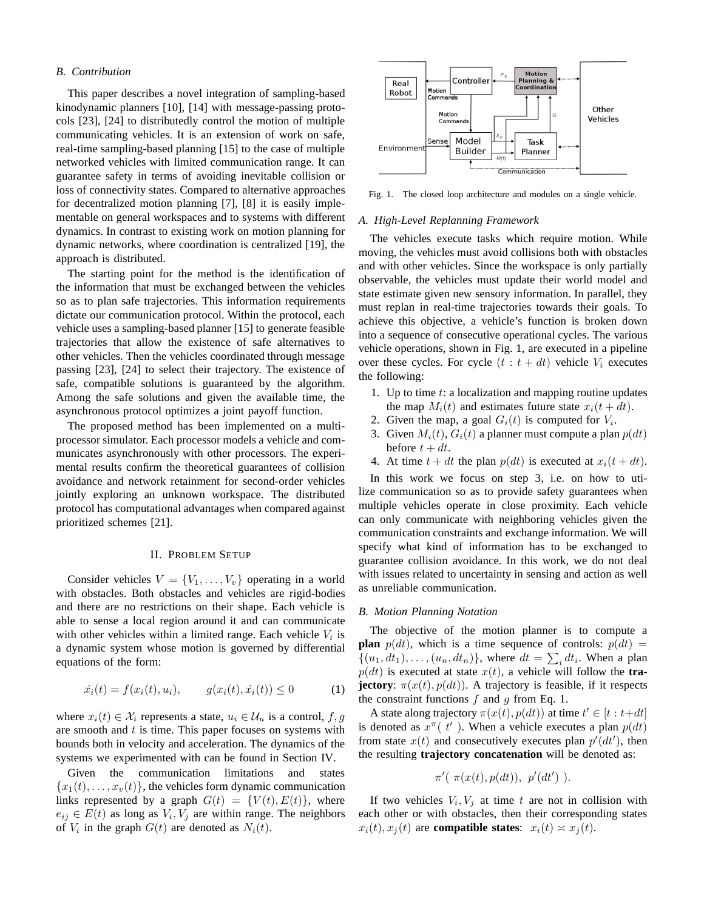### *B. Contribution*

This paper describes a novel integration of sampling-based kinodynamic planners [10], [14] with message-passing protocols [23], [24] to distributedly control the motion of multiple communicating vehicles. It is an extension of work on safe, real-time sampling-based planning [15] to the case of multiple networked vehicles with limited communication range. It can guarantee safety in terms of avoiding inevitable collision or loss of connectivity states. Compared to alternative approaches for decentralized motion planning [7], [8] it is easily implementable on general workspaces and to systems with different dynamics. In contrast to existing work on motion planning for dynamic networks, where coordination is centralized [19], the approach is distributed.

The starting point for the method is the identification of the information that must be exchanged between the vehicles so as to plan safe trajectories. This information requirements dictate our communication protocol. Within the protocol, each vehicle uses a sampling-based planner [15] to generate feasible trajectories that allow the existence of safe alternatives to other vehicles. Then the vehicles coordinated through message passing [23], [24] to select their trajectory. The existence of safe, compatible solutions is guaranteed by the algorithm. Among the safe solutions and given the available time, the asynchronous protocol optimizes a joint payoff function.

The proposed method has been implemented on a multiprocessor simulator. Each processor models a vehicle and communicates asynchronously with other processors. The experimental results confirm the theoretical guarantees of collision avoidance and network retainment for second-order vehicles jointly exploring an unknown workspace. The distributed protocol has computational advantages when compared against prioritized schemes [21].

#### II. PROBLEM SETUP

Consider vehicles  $V = \{V_1, \ldots, V_v\}$  operating in a world with obstacles. Both obstacles and vehicles are rigid-bodies and there are no restrictions on their shape. Each vehicle is able to sense a local region around it and can communicate with other vehicles within a limited range. Each vehicle  $V_i$  is a dynamic system whose motion is governed by differential equations of the form:

$$
\dot{x}_i(t) = f(x_i(t), u_i), \qquad g(x_i(t), \dot{x}_i(t)) \le 0 \tag{1}
$$

where  $x_i(t) \in \mathcal{X}_i$  represents a state,  $u_i \in \mathcal{U}_u$  is a control,  $f, g$ are smooth and  $t$  is time. This paper focuses on systems with bounds both in velocity and acceleration. The dynamics of the systems we experimented with can be found in Section IV.

Given the communication limitations and states  ${x_1(t), \ldots, x_v(t)}$ , the vehicles form dynamic communication links represented by a graph  $G(t) = \{V(t), E(t)\}\$ , where  $e_{ij} \in E(t)$  as long as  $V_i, V_j$  are within range. The neighbors of  $V_i$  in the graph  $G(t)$  are denoted as  $N_i(t)$ .



Fig. 1. The closed loop architecture and modules on a single vehicle.

#### *A. High-Level Replanning Framework*

The vehicles execute tasks which require motion. While moving, the vehicles must avoid collisions both with obstacles and with other vehicles. Since the workspace is only partially observable, the vehicles must update their world model and state estimate given new sensory information. In parallel, they must replan in real-time trajectories towards their goals. To achieve this objective, a vehicle's function is broken down into a sequence of consecutive operational cycles. The various vehicle operations, shown in Fig. 1, are executed in a pipeline over these cycles. For cycle  $(t : t + dt)$  vehicle  $V_i$  executes the following:

- 1. Up to time  $t$ : a localization and mapping routine updates the map  $M_i(t)$  and estimates future state  $x_i(t + dt)$ .
- 2. Given the map, a goal  $G_i(t)$  is computed for  $V_i$ .
- 3. Given  $M_i(t)$ ,  $G_i(t)$  a planner must compute a plan  $p(dt)$ before  $t + dt$ .
- 4. At time  $t + dt$  the plan  $p(dt)$  is executed at  $x_i(t + dt)$ .

In this work we focus on step 3, i.e. on how to utilize communication so as to provide safety guarantees when multiple vehicles operate in close proximity. Each vehicle can only communicate with neighboring vehicles given the communication constraints and exchange information. We will specify what kind of information has to be exchanged to guarantee collision avoidance. In this work, we do not deal with issues related to uncertainty in sensing and action as well as unreliable communication.

#### *B. Motion Planning Notation*

The objective of the motion planner is to compute a **plan**  $p(dt)$ , which is a time sequence of controls:  $p(dt)$  =  $\{(u_1, dt_1), \ldots, (u_n, dt_n)\}\)$ , where  $dt = \sum_i dt_i$ . When a plan  $p(dt)$  is executed at state  $x(t)$ , a vehicle will follow the **trajectory**:  $\pi(x(t), p(dt))$ . A trajectory is feasible, if it respects the constraint functions  $f$  and  $g$  from Eq. 1.

A state along trajectory  $\pi(x(t), p(dt))$  at time  $t' \in [t : t+dt]$ is denoted as  $x^{\pi}$ ( $t'$ ). When a vehicle executes a plan  $p(dt)$ from state  $x(t)$  and consecutively executes plan  $p'(dt')$ , then the resulting **trajectory concatenation** will be denoted as:

$$
\pi'(\pi(x(t),p(dt)), p'(dt'))
$$
.

If two vehicles  $V_i, V_j$  at time t are not in collision with each other or with obstacles, then their corresponding states  $x_i(t), x_j(t)$  are **compatible states**:  $x_i(t) \approx x_j(t)$ .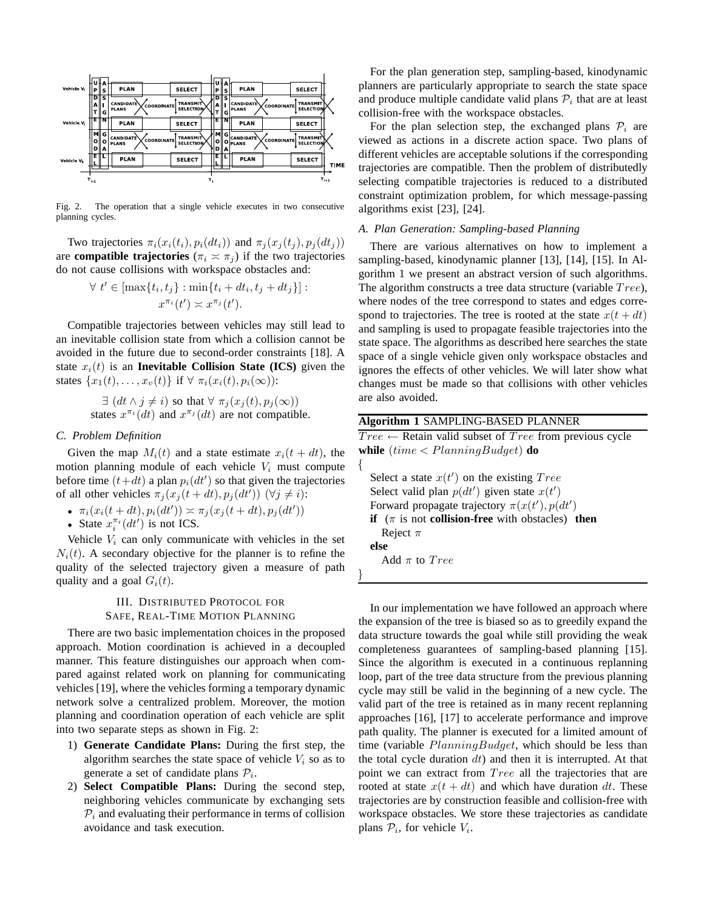

Fig. 2. The operation that a single vehicle executes in two consecutive planning cycles.

Two trajectories  $\pi_i(x_i(t_i), p_i(dt_i))$  and  $\pi_j(x_j(t_j), p_j(dt_j))$ are **compatible trajectories** ( $\pi_i \approx \pi_j$ ) if the two trajectories do not cause collisions with workspace obstacles and:

$$
\forall t' \in [\max\{t_i, t_j\} : \min\{t_i + dt_i, t_j + dt_j\}]:
$$
  

$$
x^{\pi_i}(t') \approx x^{\pi_j}(t').
$$

Compatible trajectories between vehicles may still lead to an inevitable collision state from which a collision cannot be avoided in the future due to second-order constraints [18]. A state  $x_i(t)$  is an **Inevitable Collision State (ICS)** given the states  $\{x_1(t), \ldots, x_v(t)\}\$ if  $\forall \pi_i(x_i(t), p_i(\infty))$ :

> $\exists$   $(dt \wedge j \neq i)$  so that  $\forall \pi_i(x_i(t), p_i(\infty))$ states  $x^{\pi_i}(dt)$  and  $x^{\pi_j}(dt)$  are not compatible.

## *C. Problem Definition*

Given the map  $M_i(t)$  and a state estimate  $x_i(t + dt)$ , the motion planning module of each vehicle  $V_i$  must compute before time  $(t+dt)$  a plan  $p_i(dt')$  so that given the trajectories of all other vehicles  $\pi_j(x_j(t+dt), p_j(dt'))$   $(\forall j \neq i)$ :

• 
$$
\pi_i(x_i(t+dt), p_i(dt')) \asymp \pi_j(x_j(t+dt), p_j(dt'))
$$

• State  $x_i^{\pi_i}(dt')$  is not ICS.

Vehicle  $V_i$  can only communicate with vehicles in the set  $N_i(t)$ . A secondary objective for the planner is to refine the quality of the selected trajectory given a measure of path quality and a goal  $G_i(t)$ .

# III. DISTRIBUTED PROTOCOL FOR SAFE, REAL-TIME MOTION PLANNING

There are two basic implementation choices in the proposed approach. Motion coordination is achieved in a decoupled manner. This feature distinguishes our approach when compared against related work on planning for communicating vehicles [19], where the vehicles forming a temporary dynamic network solve a centralized problem. Moreover, the motion planning and coordination operation of each vehicle are split into two separate steps as shown in Fig. 2:

- 1) **Generate Candidate Plans:** During the first step, the algorithm searches the state space of vehicle  $V_i$  so as to generate a set of candidate plans  $P_i$ .
- 2) **Select Compatible Plans:** During the second step, neighboring vehicles communicate by exchanging sets  $P_i$  and evaluating their performance in terms of collision avoidance and task execution.

For the plan generation step, sampling-based, kinodynamic planners are particularly appropriate to search the state space and produce multiple candidate valid plans  $P_i$  that are at least collision-free with the workspace obstacles.

For the plan selection step, the exchanged plans  $P_i$  are viewed as actions in a discrete action space. Two plans of different vehicles are acceptable solutions if the corresponding trajectories are compatible. Then the problem of distributedly selecting compatible trajectories is reduced to a distributed constraint optimization problem, for which message-passing algorithms exist [23], [24].

# *A. Plan Generation: Sampling-based Planning*

There are various alternatives on how to implement a sampling-based, kinodynamic planner [13], [14], [15]. In Algorithm 1 we present an abstract version of such algorithms. The algorithm constructs a tree data structure (variable  $Tree$ ), where nodes of the tree correspond to states and edges correspond to trajectories. The tree is rooted at the state  $x(t + dt)$ and sampling is used to propagate feasible trajectories into the state space. The algorithms as described here searches the state space of a single vehicle given only workspace obstacles and ignores the effects of other vehicles. We will later show what changes must be made so that collisions with other vehicles are also avoided.

# **Algorithm 1** SAMPLING-BASED PLANNER

 $Tree \leftarrow$  Retain valid subset of  $Tree$  from previous cycle **while** (time < PlanningBudget) **do** {

Select a state  $x(t')$  on the existing  $Tree$ Select valid plan  $p(dt')$  given state  $x(t')$ Forward propagate trajectory  $\pi(x(t'), p(dt')$ **if** ( $\pi$  is not **collision-free** with obstacles) **then** Reject  $\pi$ **else** Add  $\pi$  to  $Tree$ 

}

In our implementation we have followed an approach where the expansion of the tree is biased so as to greedily expand the data structure towards the goal while still providing the weak completeness guarantees of sampling-based planning [15]. Since the algorithm is executed in a continuous replanning loop, part of the tree data structure from the previous planning cycle may still be valid in the beginning of a new cycle. The valid part of the tree is retained as in many recent replanning approaches [16], [17] to accelerate performance and improve path quality. The planner is executed for a limited amount of time (variable  $PlanningBudget$ , which should be less than the total cycle duration  $dt$ ) and then it is interrupted. At that point we can extract from *Tree* all the trajectories that are rooted at state  $x(t + dt)$  and which have duration dt. These trajectories are by construction feasible and collision-free with workspace obstacles. We store these trajectories as candidate plans  $P_i$ , for vehicle  $V_i$ .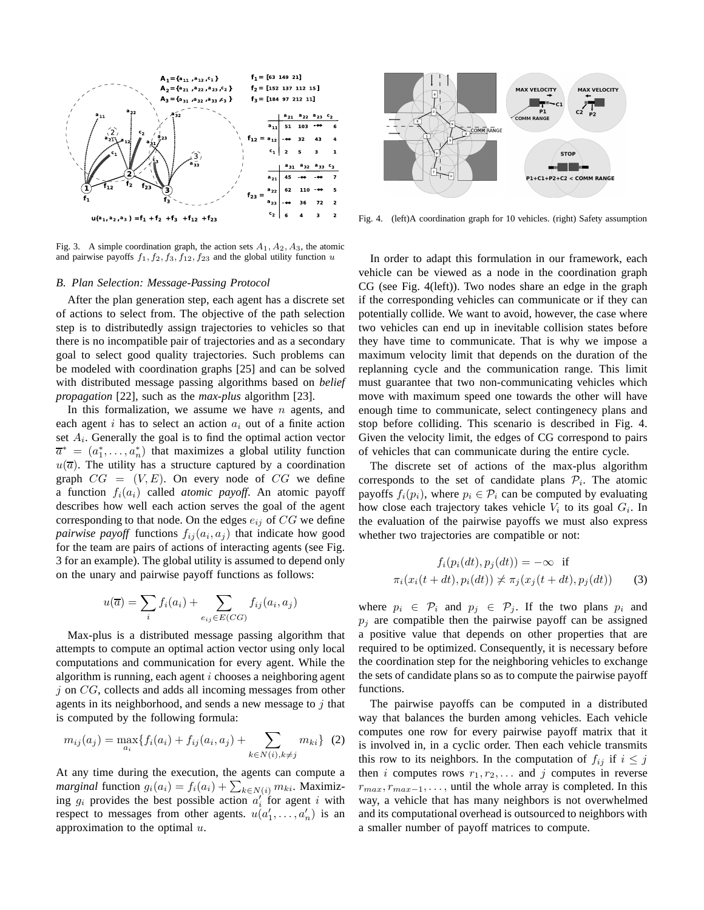

Fig. 3. A simple coordination graph, the action sets  $A_1, A_2, A_3$ , the atomic and pairwise payoffs  $f_1, f_2, f_3, f_{12}, f_{23}$  and the global utility function u

# *B. Plan Selection: Message-Passing Protocol*

After the plan generation step, each agent has a discrete set of actions to select from. The objective of the path selection step is to distributedly assign trajectories to vehicles so that there is no incompatible pair of trajectories and as a secondary goal to select good quality trajectories. Such problems can be modeled with coordination graphs [25] and can be solved with distributed message passing algorithms based on *belief propagation* [22], such as the *max-plus* algorithm [23].

In this formalization, we assume we have  $n$  agents, and each agent i has to select an action  $a_i$  out of a finite action set  $A_i$ . Generally the goal is to find the optimal action vector  $\overline{a}^* = (a_1^*, \dots, a_n^*)$  that maximizes a global utility function  $u(\overline{a})$ . The utility has a structure captured by a coordination graph  $CG = (V, E)$ . On every node of CG we define a function  $f_i(a_i)$  called *atomic payoff*. An atomic payoff describes how well each action serves the goal of the agent corresponding to that node. On the edges  $e_{ij}$  of  $CG$  we define *pairwise payoff* functions  $f_{ij}(a_i, a_j)$  that indicate how good for the team are pairs of actions of interacting agents (see Fig. 3 for an example). The global utility is assumed to depend only on the unary and pairwise payoff functions as follows:

$$
u(\overline{a}) = \sum_{i} f_i(a_i) + \sum_{e_{ij} \in E(CG)} f_{ij}(a_i, a_j)
$$

Max-plus is a distributed message passing algorithm that attempts to compute an optimal action vector using only local computations and communication for every agent. While the algorithm is running, each agent  $i$  chooses a neighboring agent  $i$  on  $CG$ , collects and adds all incoming messages from other agents in its neighborhood, and sends a new message to  $i$  that is computed by the following formula:

$$
m_{ij}(a_j) = \max_{a_i} \{ f_i(a_i) + f_{ij}(a_i, a_j) + \sum_{k \in N(i), k \neq j} m_{ki} \} (2)
$$

At any time during the execution, the agents can compute a *marginal* function  $g_i(a_i) = f_i(a_i) + \sum_{k \in N(i)} m_{ki}$ . Maximizing  $g_i$  provides the best possible action  $a'_i$  for agent i with respect to messages from other agents.  $u(a'_1, \ldots, a'_n)$  is an approximation to the optimal  $u$ .



Fig. 4. (left)A coordination graph for 10 vehicles. (right) Safety assumption

In order to adapt this formulation in our framework, each vehicle can be viewed as a node in the coordination graph CG (see Fig. 4(left)). Two nodes share an edge in the graph if the corresponding vehicles can communicate or if they can potentially collide. We want to avoid, however, the case where two vehicles can end up in inevitable collision states before they have time to communicate. That is why we impose a maximum velocity limit that depends on the duration of the replanning cycle and the communication range. This limit must guarantee that two non-communicating vehicles which move with maximum speed one towards the other will have enough time to communicate, select contingenecy plans and stop before colliding. This scenario is described in Fig. 4. Given the velocity limit, the edges of CG correspond to pairs of vehicles that can communicate during the entire cycle.

The discrete set of actions of the max-plus algorithm corresponds to the set of candidate plans  $P_i$ . The atomic payoffs  $f_i(p_i)$ , where  $p_i \in \mathcal{P}_i$  can be computed by evaluating how close each trajectory takes vehicle  $V_i$  to its goal  $G_i$ . In the evaluation of the pairwise payoffs we must also express whether two trajectories are compatible or not:

$$
f_i(p_i(dt), p_j(dt)) = -\infty \quad \text{if}
$$
  

$$
\pi_i(x_i(t+dt), p_i(dt)) \nless \pi_j(x_j(t+dt), p_j(dt)) \qquad (3)
$$

where  $p_i \in \mathcal{P}_i$  and  $p_j \in \mathcal{P}_j$ . If the two plans  $p_i$  and  $p_i$  are compatible then the pairwise payoff can be assigned a positive value that depends on other properties that are required to be optimized. Consequently, it is necessary before the coordination step for the neighboring vehicles to exchange the sets of candidate plans so as to compute the pairwise payoff functions.

The pairwise payoffs can be computed in a distributed way that balances the burden among vehicles. Each vehicle computes one row for every pairwise payoff matrix that it is involved in, in a cyclic order. Then each vehicle transmits this row to its neighbors. In the computation of  $f_{ij}$  if  $i \leq j$ then *i* computes rows  $r_1, r_2, \ldots$  and *j* computes in reverse  $r_{max}, r_{max-1}, \ldots$ , until the whole array is completed. In this way, a vehicle that has many neighbors is not overwhelmed and its computational overhead is outsourced to neighbors with a smaller number of payoff matrices to compute.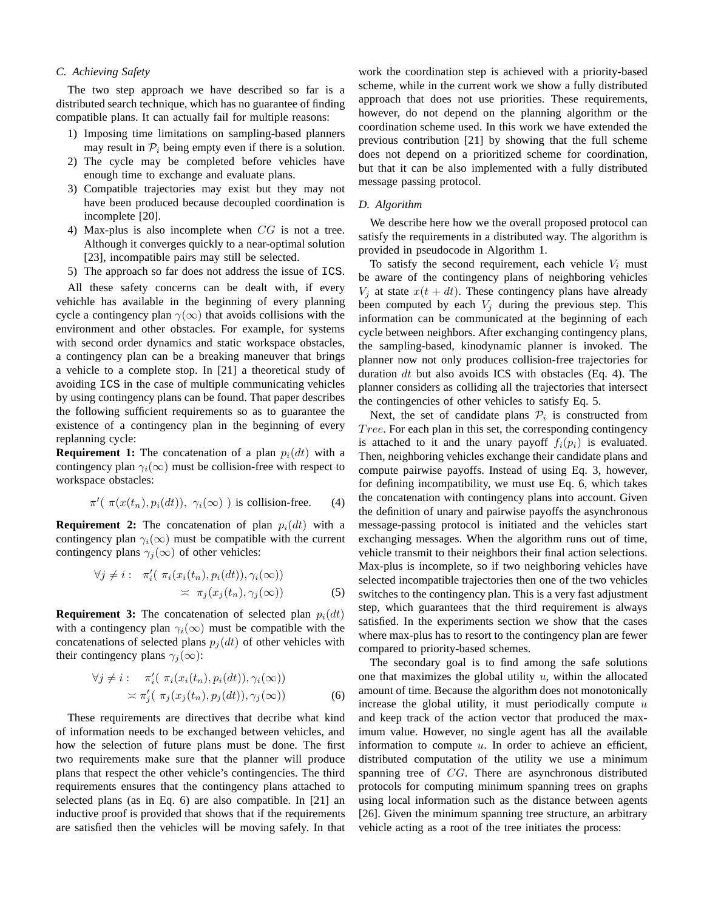## *C. Achieving Safety*

The two step approach we have described so far is a distributed search technique, which has no guarantee of finding compatible plans. It can actually fail for multiple reasons:

- 1) Imposing time limitations on sampling-based planners may result in  $P_i$  being empty even if there is a solution.
- 2) The cycle may be completed before vehicles have enough time to exchange and evaluate plans.
- 3) Compatible trajectories may exist but they may not have been produced because decoupled coordination is incomplete [20].
- 4) Max-plus is also incomplete when CG is not a tree. Although it converges quickly to a near-optimal solution [23], incompatible pairs may still be selected.
- 5) The approach so far does not address the issue of ICS.

All these safety concerns can be dealt with, if every vehichle has available in the beginning of every planning cycle a contingency plan  $\gamma(\infty)$  that avoids collisions with the environment and other obstacles. For example, for systems with second order dynamics and static workspace obstacles, a contingency plan can be a breaking maneuver that brings a vehicle to a complete stop. In [21] a theoretical study of avoiding ICS in the case of multiple communicating vehicles by using contingency plans can be found. That paper describes the following sufficient requirements so as to guarantee the existence of a contingency plan in the beginning of every replanning cycle:

**Requirement 1:** The concatenation of a plan  $p_i(dt)$  with a contingency plan  $\gamma_i(\infty)$  must be collision-free with respect to workspace obstacles:

$$
\pi'(\pi(x(t_n), p_i(dt)), \gamma_i(\infty))
$$
 is collision-free. (4)

**Requirement 2:** The concatenation of plan  $p_i(dt)$  with a contingency plan  $\gamma_i(\infty)$  must be compatible with the current contingency plans  $\gamma_i(\infty)$  of other vehicles:

$$
\forall j \neq i: \quad \pi'_i(\ \pi_i(x_i(t_n), p_i(dt)), \gamma_i(\infty))
$$

$$
\asymp \ \pi_j(x_j(t_n), \gamma_j(\infty))
$$
(5)

**Requirement 3:** The concatenation of selected plan  $p_i(dt)$ with a contingency plan  $\gamma_i(\infty)$  must be compatible with the concatenations of selected plans  $p_i(dt)$  of other vehicles with their contingency plans  $\gamma_i(\infty)$ :

$$
\forall j \neq i: \pi'_i(\pi_i(x_i(t_n), p_i(dt)), \gamma_i(\infty))
$$
  
 
$$
\asymp \pi'_j(\pi_j(x_j(t_n), p_j(dt)), \gamma_j(\infty))
$$
 (6)

These requirements are directives that decribe what kind of information needs to be exchanged between vehicles, and how the selection of future plans must be done. The first two requirements make sure that the planner will produce plans that respect the other vehicle's contingencies. The third requirements ensures that the contingency plans attached to selected plans (as in Eq. 6) are also compatible. In [21] an inductive proof is provided that shows that if the requirements are satisfied then the vehicles will be moving safely. In that work the coordination step is achieved with a priority-based scheme, while in the current work we show a fully distributed approach that does not use priorities. These requirements, however, do not depend on the planning algorithm or the coordination scheme used. In this work we have extended the previous contribution [21] by showing that the full scheme does not depend on a prioritized scheme for coordination, but that it can be also implemented with a fully distributed message passing protocol.

#### *D. Algorithm*

We describe here how we the overall proposed protocol can satisfy the requirements in a distributed way. The algorithm is provided in pseudocode in Algorithm 1.

To satisfy the second requirement, each vehicle  $V_i$  must be aware of the contingency plans of neighboring vehicles  $V_i$  at state  $x(t + dt)$ . These contingency plans have already been computed by each  $V_i$  during the previous step. This information can be communicated at the beginning of each cycle between neighbors. After exchanging contingency plans, the sampling-based, kinodynamic planner is invoked. The planner now not only produces collision-free trajectories for duration  $dt$  but also avoids ICS with obstacles (Eq. 4). The planner considers as colliding all the trajectories that intersect the contingencies of other vehicles to satisfy Eq. 5.

Next, the set of candidate plans  $P_i$  is constructed from Tree. For each plan in this set, the corresponding contingency is attached to it and the unary payoff  $f_i(p_i)$  is evaluated. Then, neighboring vehicles exchange their candidate plans and compute pairwise payoffs. Instead of using Eq. 3, however, for defining incompatibility, we must use Eq. 6, which takes the concatenation with contingency plans into account. Given the definition of unary and pairwise payoffs the asynchronous message-passing protocol is initiated and the vehicles start exchanging messages. When the algorithm runs out of time, vehicle transmit to their neighbors their final action selections. Max-plus is incomplete, so if two neighboring vehicles have selected incompatible trajectories then one of the two vehicles switches to the contingency plan. This is a very fast adjustment step, which guarantees that the third requirement is always satisfied. In the experiments section we show that the cases where max-plus has to resort to the contingency plan are fewer compared to priority-based schemes.

The secondary goal is to find among the safe solutions one that maximizes the global utility  $u$ , within the allocated amount of time. Because the algorithm does not monotonically increase the global utility, it must periodically compute  $u$ and keep track of the action vector that produced the maximum value. However, no single agent has all the available information to compute  $u$ . In order to achieve an efficient, distributed computation of the utility we use a minimum spanning tree of CG. There are asynchronous distributed protocols for computing minimum spanning trees on graphs using local information such as the distance between agents [26]. Given the minimum spanning tree structure, an arbitrary vehicle acting as a root of the tree initiates the process: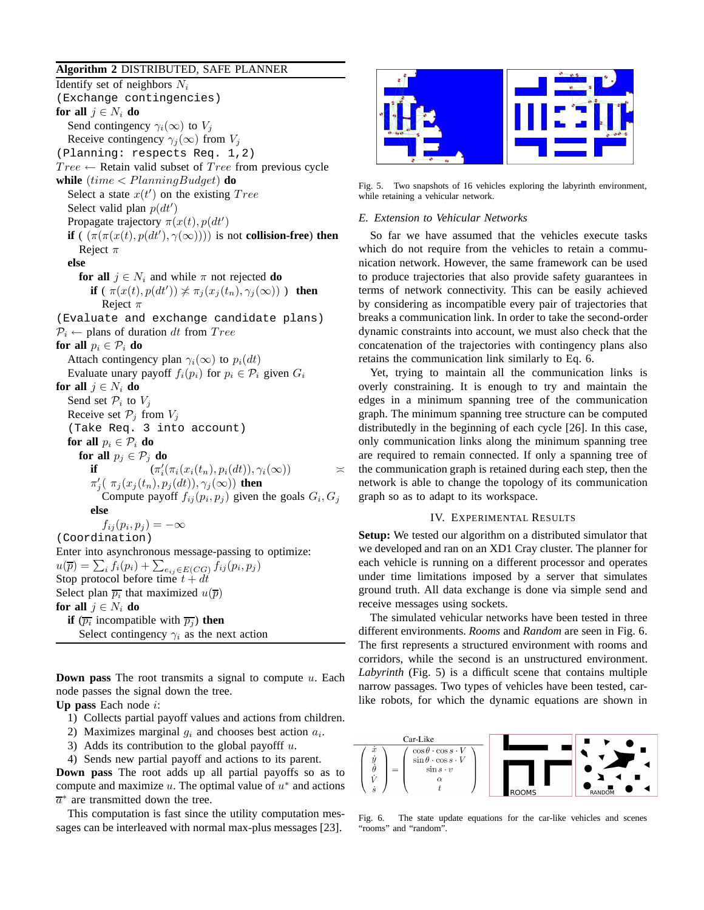## **Algorithm 2** DISTRIBUTED, SAFE PLANNER

Identify set of neighbors  $N_i$ (Exchange contingencies) **for all**  $j \in N_i$  **do** Send contingency  $\gamma_i(\infty)$  to  $V_j$ Receive contingency  $\gamma_i(\infty)$  from  $V_j$ (Planning: respects Req. 1,2)  $Tree \leftarrow$  Retain valid subset of  $Tree$  from previous cycle **while**  $(time < PlanningBudget)$  **do** Select a state  $x(t')$  on the existing  $Tree$ Select valid plan  $p(dt')$ Propagate trajectory  $\pi(x(t), p(dt))$ **if** (  $(\pi(\pi(x(t), p(dt'), \gamma(\infty))))$  is not **collision-free**) **then** Reject  $\pi$ **else for all**  $j \in N_i$  and while  $\pi$  not rejected **do if** (  $\pi(x(t), p(dt')) \nless \pi_j(x_j(t_n), \gamma_j(\infty))$  ) **then** Reject  $\pi$ (Evaluate and exchange candidate plans)  $P_i \leftarrow$  plans of duration dt from Tree **for all**  $p_i \in \mathcal{P}_i$  **do** Attach contingency plan  $\gamma_i(\infty)$  to  $p_i(dt)$ Evaluate unary payoff  $f_i(p_i)$  for  $p_i \in \mathcal{P}_i$  given  $G_i$ **for all**  $j \in N_i$  **do** Send set  $\mathcal{P}_i$  to  $V_j$ Receive set  $P_i$  from  $V_i$ (Take Req. 3 into account) **for all**  $p_i \in \mathcal{P}_i$  **do for all**  $p_i \in \mathcal{P}_i$  **do if**  $(\pi'_i(\pi_i(x_i(t_n), p_i(dt)), \gamma_i(\infty)))$   $\asymp$  $\pi'_j(\pi_j(x_j(t_n),p_j(dt)),\gamma_j(\infty))$  then Compute payoff  $f_{ij}(p_i, p_j)$  given the goals  $G_i, G_j$ **else**  $f_{ij}(p_i, p_j) = -\infty$ (Coordination) Enter into asynchronous message-passing to optimize:  $u(\overline{p}) = \sum_i f_i(p_i) + \sum_{e_{ij} \in E(CG)} f_{ij}(p_i, p_j)$ Stop protocol before time  $t + dt$ Select plan  $\overline{p_i}$  that maximized  $u(\overline{p})$ **for all**  $j \in N_i$  **do if**  $(\overline{p_i}$  incompatible with  $\overline{p_j}$  **then** Select contingency  $\gamma_i$  as the next action

**Down pass** The root transmits a signal to compute u. Each node passes the signal down the tree.

**Up pass** Each node i:

- 1) Collects partial payoff values and actions from children.
- 2) Maximizes marginal  $g_i$  and chooses best action  $a_i$ .
- 3) Adds its contribution to the global payofff  $u$ .

4) Sends new partial payoff and actions to its parent. **Down pass** The root adds up all partial payoffs so as to compute and maximize  $u$ . The optimal value of  $u^*$  and actions  $\overline{a}^*$  are transmitted down the tree.

This computation is fast since the utility computation messages can be interleaved with normal max-plus messages [23].



Fig. 5. Two snapshots of 16 vehicles exploring the labyrinth environment, while retaining a vehicular network.

#### *E. Extension to Vehicular Networks*

So far we have assumed that the vehicles execute tasks which do not require from the vehicles to retain a communication network. However, the same framework can be used to produce trajectories that also provide safety guarantees in terms of network connectivity. This can be easily achieved by considering as incompatible every pair of trajectories that breaks a communication link. In order to take the second-order dynamic constraints into account, we must also check that the concatenation of the trajectories with contingency plans also retains the communication link similarly to Eq. 6.

Yet, trying to maintain all the communication links is overly constraining. It is enough to try and maintain the edges in a minimum spanning tree of the communication graph. The minimum spanning tree structure can be computed distributedly in the beginning of each cycle [26]. In this case, only communication links along the minimum spanning tree are required to remain connected. If only a spanning tree of the communication graph is retained during each step, then the network is able to change the topology of its communication graph so as to adapt to its workspace.

# IV. EXPERIMENTAL RESULTS

**Setup:** We tested our algorithm on a distributed simulator that we developed and ran on an XD1 Cray cluster. The planner for each vehicle is running on a different processor and operates under time limitations imposed by a server that simulates ground truth. All data exchange is done via simple send and receive messages using sockets.

The simulated vehicular networks have been tested in three different environments. *Rooms* and *Random* are seen in Fig. 6. The first represents a structured environment with rooms and corridors, while the second is an unstructured environment. *Labyrinth* (Fig. 5) is a difficult scene that contains multiple narrow passages. Two types of vehicles have been tested, carlike robots, for which the dynamic equations are shown in



Fig. 6. The state update equations for the car-like vehicles and scenes "rooms" and "random".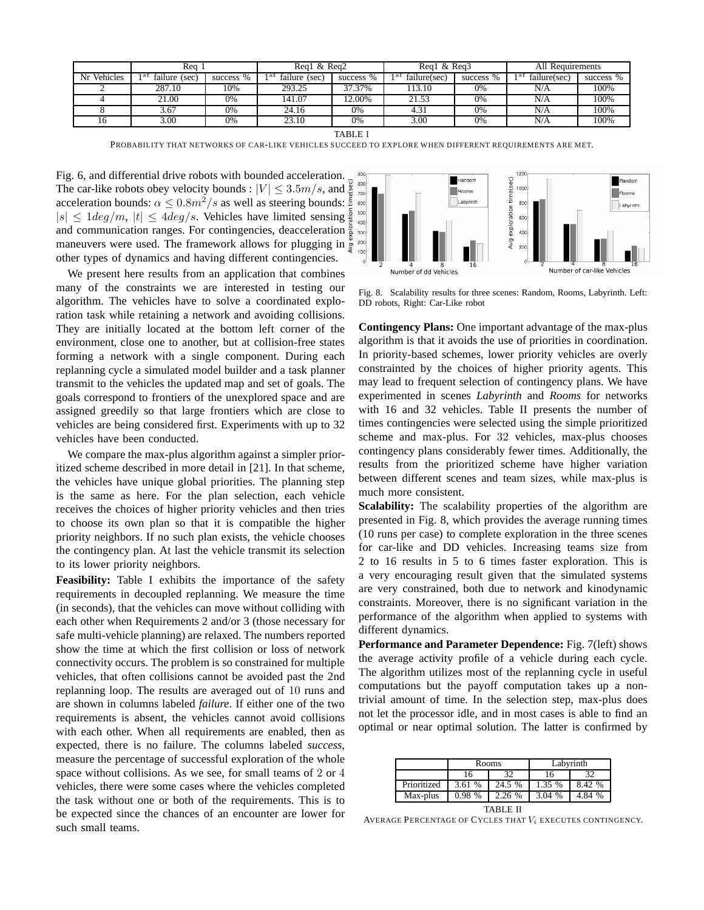|                | Rea                     |           | Reg1 & Reg2              |           | Reg1 & Reg3          |           | All<br>. Requirements |           |
|----------------|-------------------------|-----------|--------------------------|-----------|----------------------|-----------|-----------------------|-----------|
| Vehicles<br>Nr | 1Sl<br>failure<br>(sec) | success % | 1st<br>failure,<br>(sec) | success % | ı st<br>failure(sec) | success % | st<br>failure(sec)    | success % |
|                | 287.10                  | 10%       | 293.25                   | 37.37%    | 13.10                | 0%        | N/A                   | 100%      |
|                | 21.00                   | 0%        | 141.07                   | $2.00\%$  | 21.53                | 0%        | N/A                   | 100%      |
|                | 3.67                    | 0%        | 24.16                    | 0%        | 4.31                 | 0%        | N/A                   | 100%      |
| 10             | 3.00                    | 0%        | 23.10                    | 0%        | 3.00                 | 0%        | N/A                   | 100%      |

TABLE I

PROBABILITY THAT NETWORKS OF CAR-LIKE VEHICLES SUCCEED TO EXPLORE WHEN DIFFERENT REQUIREMENTS ARE MET.

Fig. 6, and differential drive robots with bounded acceleration. The car-like robots obey velocity bounds :  $|V| \leq 3.5m/s$ , and  $\frac{9}{2}$ acceleration bounds:  $\alpha \leq 0.8m^2/s$  as well as steering bounds:  $\frac{5}{5}$  $|s| \leq 1 deg/m$ ,  $|t| \leq 4 deg/s$ . Vehicles have limited sensing and communication ranges. For contingencies, deacceleration maneuvers were used. The framework allows for plugging in other types of dynamics and having different contingencies.

We present here results from an application that combines many of the constraints we are interested in testing our algorithm. The vehicles have to solve a coordinated exploration task while retaining a network and avoiding collisions. They are initially located at the bottom left corner of the environment, close one to another, but at collision-free states forming a network with a single component. During each replanning cycle a simulated model builder and a task planner transmit to the vehicles the updated map and set of goals. The goals correspond to frontiers of the unexplored space and are assigned greedily so that large frontiers which are close to vehicles are being considered first. Experiments with up to 32 vehicles have been conducted.

We compare the max-plus algorithm against a simpler prioritized scheme described in more detail in [21]. In that scheme, the vehicles have unique global priorities. The planning step is the same as here. For the plan selection, each vehicle receives the choices of higher priority vehicles and then tries to choose its own plan so that it is compatible the higher priority neighbors. If no such plan exists, the vehicle chooses the contingency plan. At last the vehicle transmit its selection to its lower priority neighbors.

**Feasibility:** Table I exhibits the importance of the safety requirements in decoupled replanning. We measure the time (in seconds), that the vehicles can move without colliding with each other when Requirements 2 and/or 3 (those necessary for safe multi-vehicle planning) are relaxed. The numbers reported show the time at which the first collision or loss of network connectivity occurs. The problem is so constrained for multiple vehicles, that often collisions cannot be avoided past the 2nd replanning loop. The results are averaged out of 10 runs and are shown in columns labeled *failure*. If either one of the two requirements is absent, the vehicles cannot avoid collisions with each other. When all requirements are enabled, then as expected, there is no failure. The columns labeled *success*, measure the percentage of successful exploration of the whole space without collisions. As we see, for small teams of 2 or 4 vehicles, there were some cases where the vehicles completed the task without one or both of the requirements. This is to be expected since the chances of an encounter are lower for such small teams.



Fig. 8. Scalability results for three scenes: Random, Rooms, Labyrinth. Left: DD robots, Right: Car-Like robot

**Contingency Plans:** One important advantage of the max-plus algorithm is that it avoids the use of priorities in coordination. In priority-based schemes, lower priority vehicles are overly constrainted by the choices of higher priority agents. This may lead to frequent selection of contingency plans. We have experimented in scenes *Labyrinth* and *Rooms* for networks with 16 and 32 vehicles. Table II presents the number of times contingencies were selected using the simple prioritized scheme and max-plus. For 32 vehicles, max-plus chooses contingency plans considerably fewer times. Additionally, the results from the prioritized scheme have higher variation between different scenes and team sizes, while max-plus is much more consistent.

Scalability: The scalability properties of the algorithm are presented in Fig. 8, which provides the average running times (10 runs per case) to complete exploration in the three scenes for car-like and DD vehicles. Increasing teams size from 2 to 16 results in 5 to 6 times faster exploration. This is a very encouraging result given that the simulated systems are very constrained, both due to network and kinodynamic constraints. Moreover, there is no significant variation in the performance of the algorithm when applied to systems with different dynamics.

**Performance and Parameter Dependence:** Fig. 7(left) shows the average activity profile of a vehicle during each cycle. The algorithm utilizes most of the replanning cycle in useful computations but the payoff computation takes up a nontrivial amount of time. In the selection step, max-plus does not let the processor idle, and in most cases is able to find an optimal or near optimal solution. The latter is confirmed by

|                 |        | Rooms  | Labyrinth |        |  |  |  |  |
|-----------------|--------|--------|-----------|--------|--|--|--|--|
|                 | 16     | 37     | 16        | 32     |  |  |  |  |
| Prioritized     | 3.61 % | 24.5 % | 1.35 %    | 8.42 % |  |  |  |  |
| Max-plus        | 0.98%  | 2.26 % | 3.04 %    | 4.84 % |  |  |  |  |
| <b>TABLE II</b> |        |        |           |        |  |  |  |  |

AVERAGE PERCENTAGE OF CYCLES THAT  $V_i$  executes contingency.